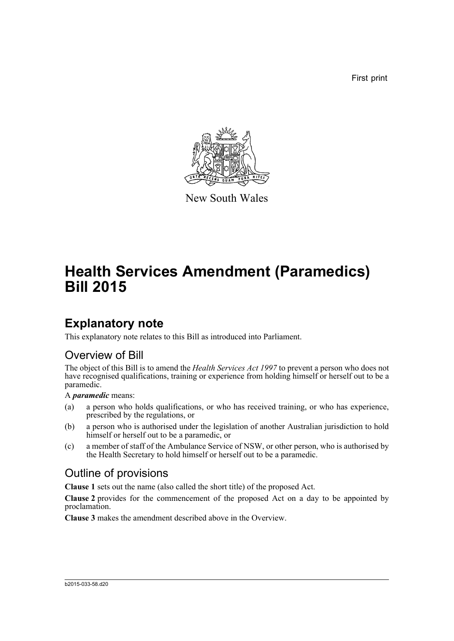First print



New South Wales

# **Health Services Amendment (Paramedics) Bill 2015**

### **Explanatory note**

This explanatory note relates to this Bill as introduced into Parliament.

#### Overview of Bill

The object of this Bill is to amend the *Health Services Act 1997* to prevent a person who does not have recognised qualifications, training or experience from holding himself or herself out to be a paramedic.

A *paramedic* means:

- (a) a person who holds qualifications, or who has received training, or who has experience, prescribed by the regulations, or
- (b) a person who is authorised under the legislation of another Australian jurisdiction to hold himself or herself out to be a paramedic, or
- (c) a member of staff of the Ambulance Service of NSW, or other person, who is authorised by the Health Secretary to hold himself or herself out to be a paramedic.

#### Outline of provisions

**Clause 1** sets out the name (also called the short title) of the proposed Act.

**Clause 2** provides for the commencement of the proposed Act on a day to be appointed by proclamation.

**Clause 3** makes the amendment described above in the Overview.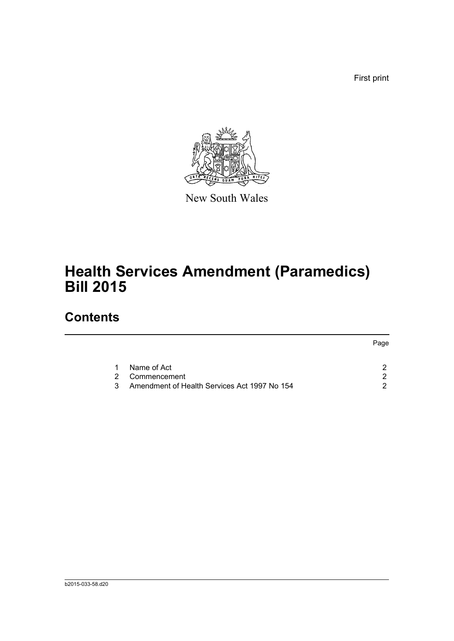First print



New South Wales

# **Health Services Amendment (Paramedics) Bill 2015**

## **Contents**

|    |                                              | Page |
|----|----------------------------------------------|------|
|    | Name of Act                                  |      |
| 2  | Commencement                                 |      |
| 3. | Amendment of Health Services Act 1997 No 154 |      |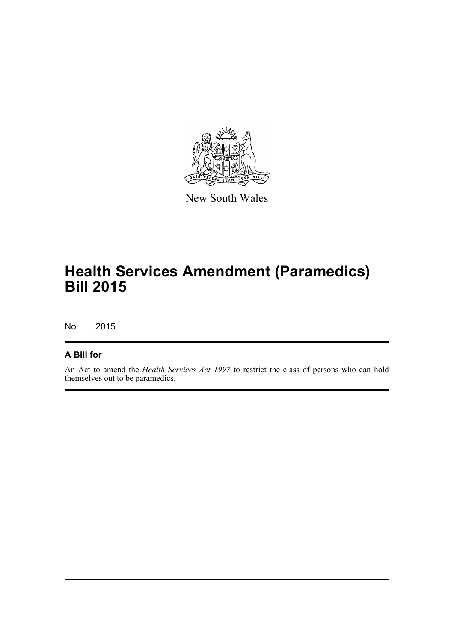

New South Wales

## **Health Services Amendment (Paramedics) Bill 2015**

No , 2015

#### **A Bill for**

An Act to amend the *Health Services Act 1997* to restrict the class of persons who can hold themselves out to be paramedics.